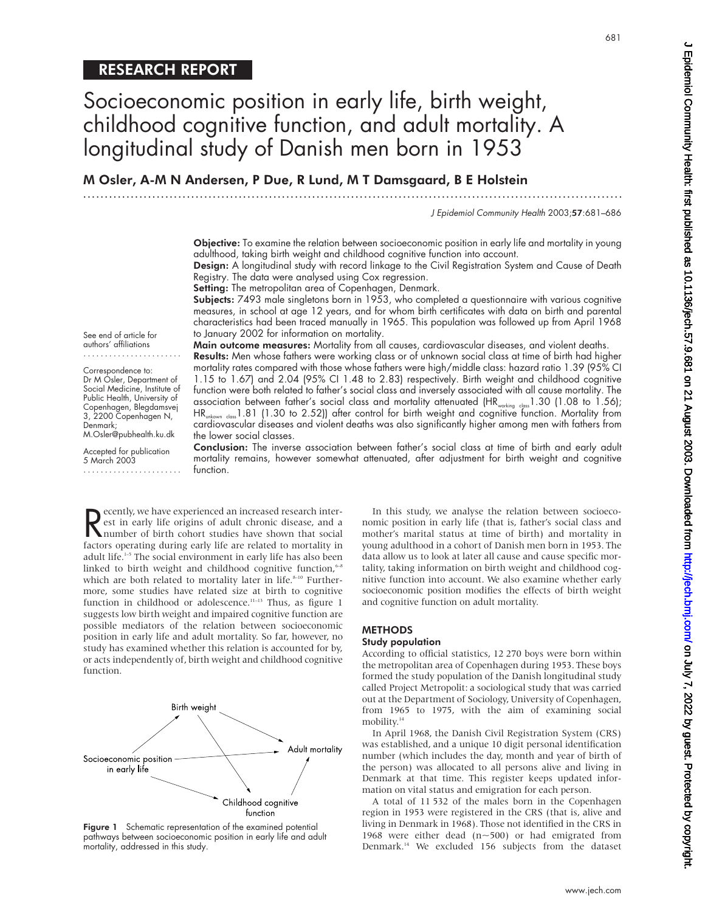# RESEARCH REPORT

# Socioeconomic position in early life, birth weight, childhood cognitive function, and adult mortality. A longitudinal study of Danish men born in 1953

# M Osler, A-M N Andersen, P Due, R Lund, M T Damsgaard, B E Holstein

.............................................................................................................................

J Epidemiol Community Health 2003;57:681–686

Objective: To examine the relation between socioeconomic position in early life and mortality in young adulthood, taking birth weight and childhood cognitive function into account.

Design: A longitudinal study with record linkage to the Civil Registration System and Cause of Death Registry. The data were analysed using Cox regression.

Setting: The metropolitan area of Copenhagen, Denmark.

Subjects: 7493 male singletons born in 1953, who completed a questionnaire with various cognitive measures, in school at age 12 years, and for whom birth certificates with data on birth and parental characteristics had been traced manually in 1965. This population was followed up from April 1968 to January 2002 for information on mortality.

Main outcome measures: Mortality from all causes, cardiovascular diseases, and violent deaths.

Results: Men whose fathers were working class or of unknown social class at time of birth had higher mortality rates compared with those whose fathers were high/middle class: hazard ratio 1.39 (95% CI 1.15 to 1.67) and 2.04 (95% CI 1.48 to 2.83) respectively. Birth weight and childhood cognitive function were both related to father's social class and inversely associated with all cause mortality. The association between father's social class and mortality attenuated (HRworking class1.30 (1.08 to 1.56); HR<sub>unkown class</sub>1.81 (1.30 to 2.52)) after control for birth weight and cognitive function. Mortality from cardiovascular diseases and violent deaths was also significantly higher among men with fathers from the lower social classes.

See end of article for authors' affiliations

.......................

Correspondence to: Dr M Osler, Department of Social Medicine, Institute of Public Health, University of Copenhagen, Blegdamsvej 3, 2200 Copenhagen N, Denmark; M.Osler@pubhealth.ku.dk

Accepted for publication

5 March 2003 ....................... Conclusion: The inverse association between father's social class at time of birth and early adult mortality remains, however somewhat attenuated, after adjustment for birth weight and cognitive function.

R ecently, we have experienced an increased research interest in early life origins of adult chronic disease, and a number of birth cohort studies have shown that social factors operating during early life are related to mortality in adult life.1–5 The social environment in early life has also been linked to birth weight and childhood cognitive function, $6-8$ which are both related to mortality later in life.<sup>8-10</sup> Furthermore, some studies have related size at birth to cognitive function in childhood or adolescence.<sup>11-13</sup> Thus, as figure 1 suggests low birth weight and impaired cognitive function are possible mediators of the relation between socioeconomic position in early life and adult mortality. So far, however, no study has examined whether this relation is accounted for by, or acts independently of, birth weight and childhood cognitive function.



Figure 1 Schematic representation of the examined potential pathways between socioeconomic position in early life and adult mortality, addressed in this study.

In this study, we analyse the relation between socioeconomic position in early life (that is, father's social class and mother's marital status at time of birth) and mortality in young adulthood in a cohort of Danish men born in 1953. The data allow us to look at later all cause and cause specific mortality, taking information on birth weight and childhood cognitive function into account. We also examine whether early socioeconomic position modifies the effects of birth weight and cognitive function on adult mortality.

# **METHODS**

#### Study population

According to official statistics, 12 270 boys were born within the metropolitan area of Copenhagen during 1953. These boys formed the study population of the Danish longitudinal study called Project Metropolit: a sociological study that was carried out at the Department of Sociology, University of Copenhagen, from 1965 to 1975, with the aim of examining social mobility.<sup>14</sup>

In April 1968, the Danish Civil Registration System (CRS) was established, and a unique 10 digit personal identification number (which includes the day, month and year of birth of the person) was allocated to all persons alive and living in Denmark at that time. This register keeps updated information on vital status and emigration for each person.

A total of 11 532 of the males born in the Copenhagen region in 1953 were registered in the CRS (that is, alive and living in Denmark in 1968). Those not identified in the CRS in 1968 were either dead (n~500) or had emigrated from Denmark.14 We excluded 156 subjects from the dataset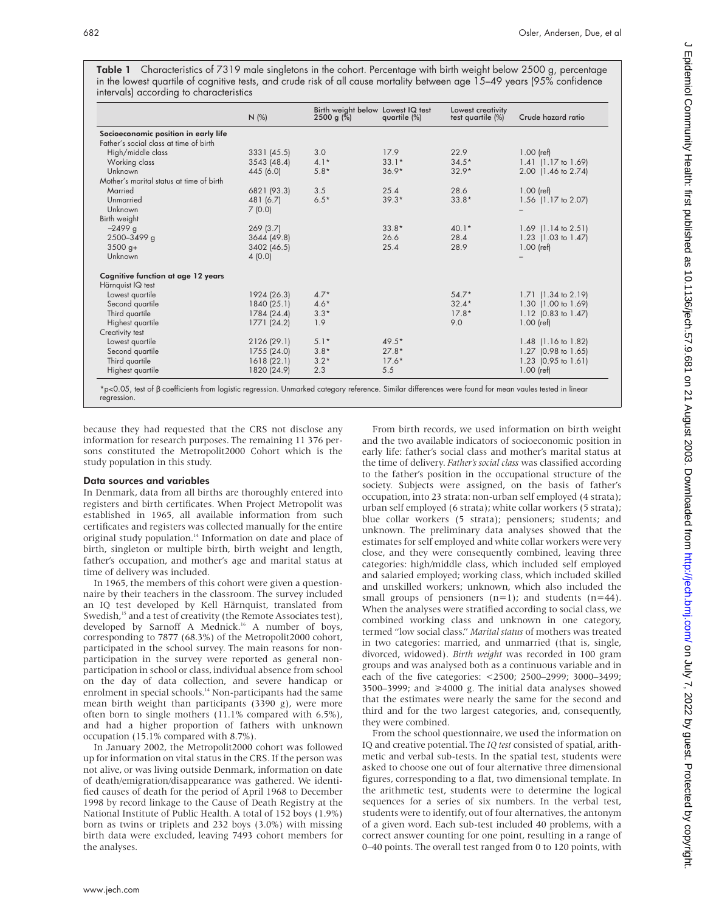Table 1 Characteristics of 7319 male singletons in the cohort. Percentage with birth weight below 2500 g, percentage in the lowest quartile of cognitive tests, and crude risk of all cause mortality between age 15–49 years (95% confidence intervals) according to characteristics

|                                          | N(%)        | Birth weight below Lowest IQ test<br>$2500$ g $\sqrt[6]{6}$ | quartile (%) | Lowest creativity<br>test quartile (%) | Crude hazard ratio             |
|------------------------------------------|-------------|-------------------------------------------------------------|--------------|----------------------------------------|--------------------------------|
| Socioeconomic position in early life     |             |                                                             |              |                                        |                                |
| Father's social class at time of birth   |             |                                                             |              |                                        |                                |
| High/middle class                        | 3331 (45.5) | 3.0                                                         | 17.9         | 22.9                                   | $1.00$ (ref)                   |
| Working class                            | 3543 (48.4) | $4.1*$                                                      | $33.1*$      | $34.5*$                                | 1.41 $(1.17 \text{ to } 1.69)$ |
| Unknown                                  | 445 (6.0)   | $5.8*$                                                      | $36.9*$      | $32.9*$                                | 2.00 (1.46 to 2.74)            |
| Mother's marital status at time of birth |             |                                                             |              |                                        |                                |
| Married                                  | 6821 (93.3) | 3.5                                                         | 25.4         | 28.6                                   | $1.00$ (ref)                   |
| Unmarried                                | 481 (6.7)   | $6.5*$                                                      | $39.3*$      | $33.8*$                                | 1.56 (1.17 to 2.07)            |
| Unknown                                  | 7(0.0)      |                                                             |              |                                        |                                |
| Birth weight                             |             |                                                             |              |                                        |                                |
| $-2499$ g                                | 269(3.7)    |                                                             | $33.8*$      | $40.1*$                                | 1.69 $(1.14 \text{ to } 2.51)$ |
| 2500-3499 g                              | 3644 (49.8) |                                                             | 26.6         | 28.4                                   | 1.23 (1.03 to 1.47)            |
| $3500 g+$                                | 3402 (46.5) |                                                             | 25.4         | 28.9                                   | $1.00$ (ref)                   |
| Unknown                                  | 4(0.0)      |                                                             |              |                                        |                                |
| Cognitive function at age 12 years       |             |                                                             |              |                                        |                                |
| Härnquist IQ test                        |             |                                                             |              |                                        |                                |
| Lowest quartile                          | 1924 (26.3) | $4.7*$                                                      |              | $54.7*$                                | 1.71 (1.34 to 2.19)            |
| Second quartile                          | 1840 (25.1) | $4.6*$                                                      |              | $32.4*$                                | 1.30 (1.00 to 1.69)            |
| Third quartile                           | 1784 (24.4) | $3.3*$                                                      |              | $17.8*$                                | 1.12 (0.83 to 1.47)            |
| Highest quartile                         | 1771 (24.2) | 1.9                                                         |              | 9.0                                    | $1.00$ (ref)                   |
| Creativity test                          |             |                                                             |              |                                        |                                |
| Lowest quartile                          | 2126 (29.1) | $5.1*$                                                      | $49.5*$      |                                        | 1.48 $(1.16 \text{ to } 1.82)$ |
| Second quartile                          | 1755 (24.0) | $3.8*$                                                      | $27.8*$      |                                        | 1.27 (0.98 to 1.65)            |
| Third quartile                           | 1618(22.1)  | $3.2*$                                                      | $17.6*$      |                                        | 1.23 (0.95 to 1.61)            |
| Highest quartile                         | 1820 (24.9) | 2.3                                                         | 5.5          |                                        | $1.00$ (ref)                   |

\*p<0.05, test of β coefficients from logistic regression. Unmarked category reference. Similar differences were found for mean vaules tested in linear regression.

because they had requested that the CRS not disclose any information for research purposes. The remaining 11 376 persons constituted the Metropolit2000 Cohort which is the study population in this study.

#### Data sources and variables

In Denmark, data from all births are thoroughly entered into registers and birth certificates. When Project Metropolit was established in 1965, all available information from such certificates and registers was collected manually for the entire original study population.<sup>14</sup> Information on date and place of birth, singleton or multiple birth, birth weight and length, father's occupation, and mother's age and marital status at time of delivery was included.

In 1965, the members of this cohort were given a questionnaire by their teachers in the classroom. The survey included an IQ test developed by Kell Härnquist, translated from Swedish,<sup>15</sup> and a test of creativity (the Remote Associates test), developed by Sarnoff A Mednick.<sup>16</sup> A number of boys, corresponding to 7877 (68.3%) of the Metropolit2000 cohort, participated in the school survey. The main reasons for nonparticipation in the survey were reported as general nonparticipation in school or class, individual absence from school on the day of data collection, and severe handicap or enrolment in special schools.<sup>14</sup> Non-participants had the same mean birth weight than participants (3390 g), were more often born to single mothers (11.1% compared with 6.5%), and had a higher proportion of fathers with unknown occupation (15.1% compared with 8.7%).

In January 2002, the Metropolit2000 cohort was followed up for information on vital status in the CRS. If the person was not alive, or was living outside Denmark, information on date of death/emigration/disappearance was gathered. We identified causes of death for the period of April 1968 to December 1998 by record linkage to the Cause of Death Registry at the National Institute of Public Health. A total of 152 boys (1.9%) born as twins or triplets and 232 boys (3.0%) with missing birth data were excluded, leaving 7493 cohort members for the analyses.

From birth records, we used information on birth weight and the two available indicators of socioeconomic position in early life: father's social class and mother's marital status at the time of delivery. *Father's social class* was classified according to the father's position in the occupational structure of the society. Subjects were assigned, on the basis of father's occupation, into 23 strata: non-urban self employed (4 strata); urban self employed (6 strata); white collar workers (5 strata); blue collar workers (5 strata); pensioners; students; and unknown. The preliminary data analyses showed that the estimates for self employed and white collar workers were very close, and they were consequently combined, leaving three categories: high/middle class, which included self employed and salaried employed; working class, which included skilled and unskilled workers; unknown, which also included the small groups of pensioners  $(n=1)$ ; and students  $(n=44)$ . When the analyses were stratified according to social class, we combined working class and unknown in one category, termed "low social class." *Marital status* of mothers was treated in two categories: married, and unmarried (that is, single, divorced, widowed). *Birth weight* was recorded in 100 gram groups and was analysed both as a continuous variable and in each of the five categories: <2500; 2500–2999; 3000–3499; 3500–3999; and  $\geq 4000$  g. The initial data analyses showed that the estimates were nearly the same for the second and third and for the two largest categories, and, consequently, they were combined.

From the school questionnaire, we used the information on IQ and creative potential. The *IQ test* consisted of spatial, arithmetic and verbal sub-tests. In the spatial test, students were asked to choose one out of four alternative three dimensional figures, corresponding to a flat, two dimensional template. In the arithmetic test, students were to determine the logical sequences for a series of six numbers. In the verbal test, students were to identify, out of four alternatives, the antonym of a given word. Each sub-test included 40 problems, with a correct answer counting for one point, resulting in a range of 0–40 points. The overall test ranged from 0 to 120 points, with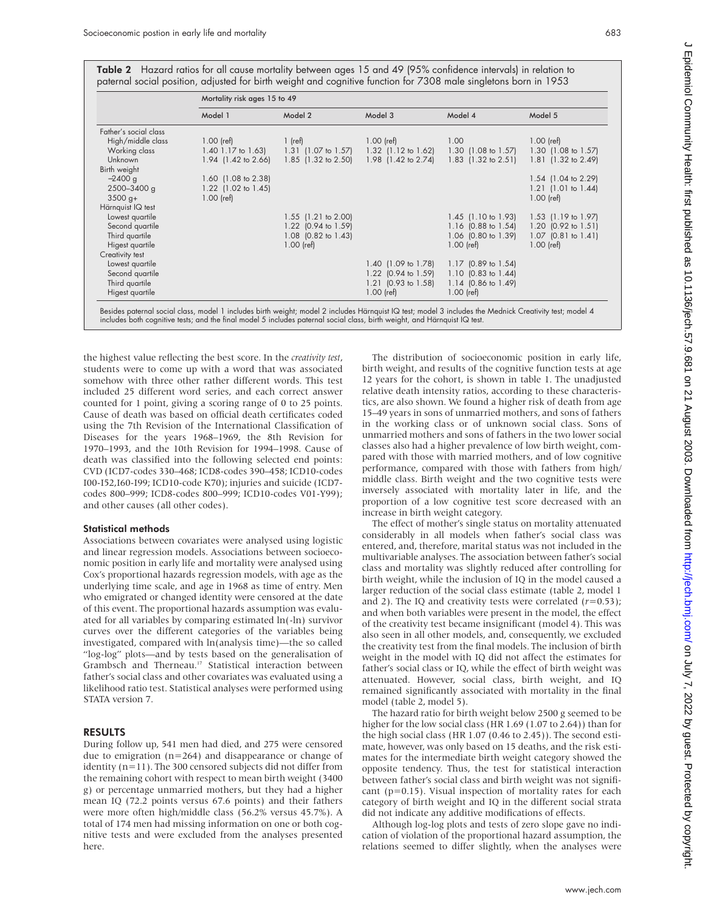Table 2 Hazard ratios for all cause mortality between ages 15 and 49 (95% confidence intervals) in relation to paternal social position, adjusted for birth weight and cognitive function for 7308 male singletons born in 1953

|                       |                                | Mortality risk ages 15 to 49   |                                |                                |                                |  |  |
|-----------------------|--------------------------------|--------------------------------|--------------------------------|--------------------------------|--------------------------------|--|--|
|                       | Model 1                        | Model 2                        | Model 3                        | Model 4                        | Model 5                        |  |  |
| Father's social class |                                |                                |                                |                                |                                |  |  |
| High/middle class     | $1.00$ (ref)                   | $1$ (ref)                      | $1.00$ (ref)                   | 1.00                           | $1.00$ (ref)                   |  |  |
| Working class         | $1.40$ $1.17$ to $1.63$        | 1.31 $(1.07 \text{ to } 1.57)$ | $1.32$ (1.12 to 1.62)          | 1.30 $(1.08 \text{ to } 1.57)$ | 1.30 (1.08 to 1.57)            |  |  |
| Unknown               | $1.94$ (1.42 to 2.66)          | $1.85$ (1.32 to 2.50)          | 1.98 $(1.42 \text{ to } 2.74)$ | 1.83 $(1.32 \text{ to } 2.51)$ | 1.81 (1.32 to 2.49)            |  |  |
| Birth weight          |                                |                                |                                |                                |                                |  |  |
| $-2400$ g             | 1.60 (1.08 to 2.38)            |                                |                                |                                | 1.54 (1.04 to 2.29)            |  |  |
| 2500-3400 g           | 1.22 $(1.02 \text{ to } 1.45)$ |                                |                                |                                | 1.21 $(1.01 \text{ to } 1.44)$ |  |  |
| $3500 g+$             | $1.00$ (ref)                   |                                |                                |                                | $1.00$ (ref)                   |  |  |
| Härnquist IQ test     |                                |                                |                                |                                |                                |  |  |
| Lowest quartile       |                                | 1.55 (1.21 to 2.00)            |                                | 1.45 $(1.10 \text{ to } 1.93)$ | 1.53 (1.19 to 1.97)            |  |  |
| Second quartile       |                                | 1.22 (0.94 to 1.59)            |                                | 1.16 $(0.88 \text{ to } 1.54)$ | 1.20 (0.92 to 1.51)            |  |  |
| Third quartile        |                                | 1.08 (0.82 to 1.43)            |                                | 1.06 (0.80 to 1.39)            | $1.07$ (0.81 to 1.41)          |  |  |
| Higest quartile       |                                | $1.00$ (ref)                   |                                | $1.00$ (ref)                   | $1.00$ (ref)                   |  |  |
| Creativity test       |                                |                                |                                |                                |                                |  |  |
| Lowest quartile       |                                |                                | 1.40 (1.09 to 1.78)            | 1.17 (0.89 to 1.54)            |                                |  |  |
| Second quartile       |                                |                                | 1.22 (0.94 to 1.59)            | 1.10 $(0.83 \text{ to } 1.44)$ |                                |  |  |
| Third quartile        |                                |                                | 1.21 (0.93 to 1.58)            | 1.14 (0.86 to 1.49)            |                                |  |  |
| Higest quartile       |                                |                                | $1.00$ (ref)                   | $1.00$ (ref)                   |                                |  |  |

Besides paternal social class, model 1 includes birth weight; model 2 includes Härnquist IQ test; model 3 includes the Mednick Creativity test; model 4<br>includes both cognitive tests; and the final model 5 includes paternal

the highest value reflecting the best score. In the *creativity test*, students were to come up with a word that was associated somehow with three other rather different words. This test included 25 different word series, and each correct answer counted for 1 point, giving a scoring range of 0 to 25 points. Cause of death was based on official death certificates coded using the 7th Revision of the International Classification of Diseases for the years 1968–1969, the 8th Revision for 1970–1993, and the 10th Revision for 1994–1998. Cause of death was classified into the following selected end points: CVD (ICD7-codes 330–468; ICD8-codes 390–458; ICD10-codes I00-I52,I60-I99; ICD10-code K70); injuries and suicide (ICD7 codes 800–999; ICD8-codes 800–999; ICD10-codes V01-Y99); and other causes (all other codes).

#### Statistical methods

Associations between covariates were analysed using logistic and linear regression models. Associations between socioeconomic position in early life and mortality were analysed using Cox's proportional hazards regression models, with age as the underlying time scale, and age in 1968 as time of entry. Men who emigrated or changed identity were censored at the date of this event. The proportional hazards assumption was evaluated for all variables by comparing estimated ln(-ln) survivor curves over the different categories of the variables being investigated, compared with ln(analysis time)—the so called "log-log" plots—and by tests based on the generalisation of Grambsch and Therneau.<sup>17</sup> Statistical interaction between father's social class and other covariates was evaluated using a likelihood ratio test. Statistical analyses were performed using STATA version 7.

#### RESULTS

During follow up, 541 men had died, and 275 were censored due to emigration (n=264) and disappearance or change of identity (n=11). The 300 censored subjects did not differ from the remaining cohort with respect to mean birth weight (3400 g) or percentage unmarried mothers, but they had a higher mean IQ (72.2 points versus 67.6 points) and their fathers were more often high/middle class (56.2% versus 45.7%). A total of 174 men had missing information on one or both cognitive tests and were excluded from the analyses presented here.

The distribution of socioeconomic position in early life, birth weight, and results of the cognitive function tests at age 12 years for the cohort, is shown in table 1. The unadjusted relative death intensity ratios, according to these characteristics, are also shown. We found a higher risk of death from age 15–49 years in sons of unmarried mothers, and sons of fathers in the working class or of unknown social class. Sons of unmarried mothers and sons of fathers in the two lower social classes also had a higher prevalence of low birth weight, compared with those with married mothers, and of low cognitive performance, compared with those with fathers from high/ middle class. Birth weight and the two cognitive tests were inversely associated with mortality later in life, and the proportion of a low cognitive test score decreased with an increase in birth weight category.

The effect of mother's single status on mortality attenuated considerably in all models when father's social class was entered, and, therefore, marital status was not included in the multivariable analyses. The association between father's social class and mortality was slightly reduced after controlling for birth weight, while the inclusion of IQ in the model caused a larger reduction of the social class estimate (table 2, model 1 and 2). The IQ and creativity tests were correlated (*r*=0.53); and when both variables were present in the model, the effect of the creativity test became insignificant (model 4). This was also seen in all other models, and, consequently, we excluded the creativity test from the final models. The inclusion of birth weight in the model with IQ did not affect the estimates for father's social class or IQ, while the effect of birth weight was attenuated. However, social class, birth weight, and IQ remained significantly associated with mortality in the final model (table 2, model 5).

The hazard ratio for birth weight below 2500 g seemed to be higher for the low social class (HR 1.69 (1.07 to 2.64)) than for the high social class (HR 1.07 (0.46 to 2.45)). The second estimate, however, was only based on 15 deaths, and the risk estimates for the intermediate birth weight category showed the opposite tendency. Thus, the test for statistical interaction between father's social class and birth weight was not significant  $(p=0.15)$ . Visual inspection of mortality rates for each category of birth weight and IQ in the different social strata did not indicate any additive modifications of effects.

Although log-log plots and tests of zero slope gave no indication of violation of the proportional hazard assumption, the relations seemed to differ slightly, when the analyses were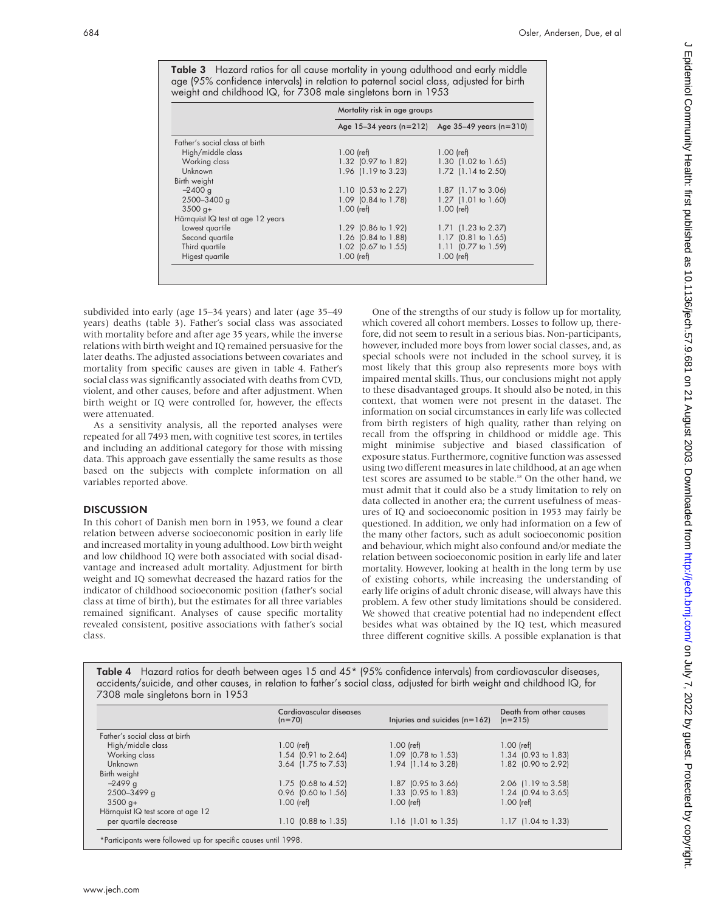Table 3 Hazard ratios for all cause mortality in young adulthood and early middle age (95% confidence intervals) in relation to paternal social class, adjusted for birth weight and childhood IQ, for 7308 male singletons born in 1953

|                                   | Mortality risk in age groups                        |                     |  |  |
|-----------------------------------|-----------------------------------------------------|---------------------|--|--|
|                                   | Age $15-34$ years (n=212) Age $35-49$ years (n=310) |                     |  |  |
| Father's social class at birth    |                                                     |                     |  |  |
| High/middle class                 | $1.00$ (ref)                                        | $1.00$ (ref)        |  |  |
| Working class                     | 1.32 (0.97 to 1.82)                                 | 1.30 (1.02 to 1.65) |  |  |
| Unknown                           | 1.96 (1.19 to 3.23)                                 | 1.72 (1.14 to 2.50) |  |  |
| Birth weight                      |                                                     |                     |  |  |
| $-2400$ g                         | 1.10 $(0.53 \text{ to } 2.27)$                      | 1.87 (1.17 to 3.06) |  |  |
| 2500-3400 g                       | 1.09 (0.84 to 1.78)                                 | 1.27 (1.01 to 1.60) |  |  |
| $3500$ g+                         | $1.00$ (ref)                                        | $1.00$ (ref)        |  |  |
| Härnquist IQ test at age 12 years |                                                     |                     |  |  |
| Lowest quartile                   | 1.29 (0.86 to 1.92)                                 | 1.71 (1.23 to 2.37) |  |  |
| Second quartile                   | 1.26 (0.84 to 1.88)                                 | 1.17 (0.81 to 1.65) |  |  |
| Third quartile                    | 1.02 (0.67 to 1.55)                                 | 1.11 (0.77 to 1.59) |  |  |
| Higest quartile                   | $1.00$ (ref)                                        | $1.00$ (ref)        |  |  |

subdivided into early (age 15–34 years) and later (age 35–49 years) deaths (table 3). Father's social class was associated with mortality before and after age 35 years, while the inverse relations with birth weight and IQ remained persuasive for the later deaths. The adjusted associations between covariates and mortality from specific causes are given in table 4. Father's social class was significantly associated with deaths from CVD, violent, and other causes, before and after adjustment. When birth weight or IQ were controlled for, however, the effects were attenuated.

As a sensitivity analysis, all the reported analyses were repeated for all 7493 men, with cognitive test scores, in tertiles and including an additional category for those with missing data. This approach gave essentially the same results as those based on the subjects with complete information on all variables reported above.

# **DISCUSSION**

In this cohort of Danish men born in 1953, we found a clear relation between adverse socioeconomic position in early life and increased mortality in young adulthood. Low birth weight and low childhood IQ were both associated with social disadvantage and increased adult mortality. Adjustment for birth weight and IQ somewhat decreased the hazard ratios for the indicator of childhood socioeconomic position (father's social class at time of birth), but the estimates for all three variables remained significant. Analyses of cause specific mortality revealed consistent, positive associations with father's social class.

One of the strengths of our study is follow up for mortality, which covered all cohort members. Losses to follow up, therefore, did not seem to result in a serious bias. Non-participants, however, included more boys from lower social classes, and, as special schools were not included in the school survey, it is most likely that this group also represents more boys with impaired mental skills. Thus, our conclusions might not apply to these disadvantaged groups. It should also be noted, in this context, that women were not present in the dataset. The information on social circumstances in early life was collected from birth registers of high quality, rather than relying on recall from the offspring in childhood or middle age. This might minimise subjective and biased classification of exposure status. Furthermore, cognitive function was assessed using two different measures in late childhood, at an age when test scores are assumed to be stable.<sup>18</sup> On the other hand, we must admit that it could also be a study limitation to rely on data collected in another era; the current usefulness of measures of IQ and socioeconomic position in 1953 may fairly be questioned. In addition, we only had information on a few of the many other factors, such as adult socioeconomic position and behaviour, which might also confound and/or mediate the relation between socioeconomic position in early life and later mortality. However, looking at health in the long term by use of existing cohorts, while increasing the understanding of early life origins of adult chronic disease, will always have this problem. A few other study limitations should be considered. We showed that creative potential had no independent effect besides what was obtained by the IQ test, which measured three different cognitive skills. A possible explanation is that

Table 4 Hazard ratios for death between ages 15 and 45\* (95% confidence intervals) from cardiovascular diseases, accidents/suicide, and other causes, in relation to father's social class, adjusted for birth weight and childhood IQ, for 7308 male singletons born in 1953

|                                   | Cardiovascular diseases<br>$(n=70)$ | Injuries and suicides $(n=162)$ | Death from other causes<br>$(n=215)$ |
|-----------------------------------|-------------------------------------|---------------------------------|--------------------------------------|
| Father's social class at birth    |                                     |                                 |                                      |
| High/middle class                 | $1.00$ (ref)                        | $1.00$ (ref)                    | $1.00$ (ref)                         |
| Working class                     | 1.54 (0.91 to 2.64)                 | 1.09 (0.78 to 1.53)             | 1.34 (0.93 to 1.83)                  |
| Unknown                           | 3.64 (1.75 to 7.53)                 | 1.94 (1.14 to 3.28)             | 1.82 (0.90 to 2.92)                  |
| Birth weight                      |                                     |                                 |                                      |
| $-2499$ g                         | 1.75 $(0.68 \text{ to } 4.52)$      | 1.87 (0.95 to 3.66)             | 2.06 (1.19 to 3.58)                  |
| 2500-3499 g                       | $0.96$ $(0.60 \text{ to } 1.56)$    | 1.33 (0.95 to 1.83)             | 1.24 $(0.94 \text{ to } 3.65)$       |
| $3500$ g+                         | $1.00$ (ref)                        | $1.00$ (ref)                    | $1.00$ (ref)                         |
| Härnquist IQ test score at age 12 |                                     |                                 |                                      |
| per quartile decrease             | 1.10 $(0.88 \text{ to } 1.35)$      | 1.16 $(1.01 \text{ to } 1.35)$  | $1.17$ (1.04 to 1.33)                |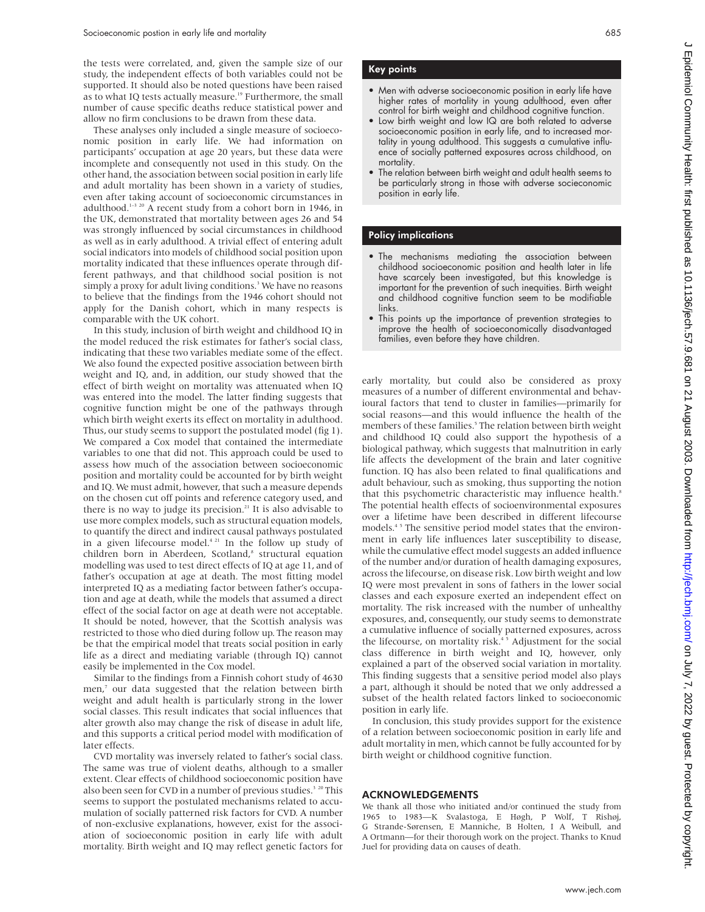the tests were correlated, and, given the sample size of our study, the independent effects of both variables could not be supported. It should also be noted questions have been raised as to what IQ tests actually measure.<sup>19</sup> Furthermore, the small number of cause specific deaths reduce statistical power and allow no firm conclusions to be drawn from these data.

These analyses only included a single measure of socioeconomic position in early life. We had information on participants' occupation at age 20 years, but these data were incomplete and consequently not used in this study. On the other hand, the association between social position in early life and adult mortality has been shown in a variety of studies, even after taking account of socioeconomic circumstances in adulthood.<sup>1-3 20</sup> A recent study from a cohort born in 1946, in the UK, demonstrated that mortality between ages 26 and 54 was strongly influenced by social circumstances in childhood as well as in early adulthood. A trivial effect of entering adult social indicators into models of childhood social position upon mortality indicated that these influences operate through different pathways, and that childhood social position is not simply a proxy for adult living conditions.<sup>3</sup> We have no reasons to believe that the findings from the 1946 cohort should not apply for the Danish cohort, which in many respects is comparable with the UK cohort.

In this study, inclusion of birth weight and childhood IQ in the model reduced the risk estimates for father's social class, indicating that these two variables mediate some of the effect. We also found the expected positive association between birth weight and IQ, and, in addition, our study showed that the effect of birth weight on mortality was attenuated when IQ was entered into the model. The latter finding suggests that cognitive function might be one of the pathways through which birth weight exerts its effect on mortality in adulthood. Thus, our study seems to support the postulated model (fig 1). We compared a Cox model that contained the intermediate variables to one that did not. This approach could be used to assess how much of the association between socioeconomic position and mortality could be accounted for by birth weight and IQ. We must admit, however, that such a measure depends on the chosen cut off points and reference category used, and there is no way to judge its precision. $21$  It is also advisable to use more complex models, such as structural equation models, to quantify the direct and indirect causal pathways postulated in a given lifecourse model.<sup>4 21</sup> In the follow up study of children born in Aberdeen, Scotland,<sup>8</sup> structural equation modelling was used to test direct effects of IQ at age 11, and of father's occupation at age at death. The most fitting model interpreted IQ as a mediating factor between father's occupation and age at death, while the models that assumed a direct effect of the social factor on age at death were not acceptable. It should be noted, however, that the Scottish analysis was restricted to those who died during follow up. The reason may be that the empirical model that treats social position in early life as a direct and mediating variable (through IQ) cannot easily be implemented in the Cox model.

Similar to the findings from a Finnish cohort study of 4630 men,<sup>7</sup> our data suggested that the relation between birth weight and adult health is particularly strong in the lower social classes. This result indicates that social influences that alter growth also may change the risk of disease in adult life, and this supports a critical period model with modification of later effects.

CVD mortality was inversely related to father's social class. The same was true of violent deaths, although to a smaller extent. Clear effects of childhood socioeconomic position have also been seen for CVD in a number of previous studies.<sup>3 20</sup> This seems to support the postulated mechanisms related to accumulation of socially patterned risk factors for CVD. A number of non-exclusive explanations, however, exist for the association of socioeconomic position in early life with adult mortality. Birth weight and IQ may reflect genetic factors for

#### Key points

- Men with adverse socioeconomic position in early life have higher rates of mortality in young adulthood, even after control for birth weight and childhood cognitive function.
- Low birth weight and low IQ are both related to adverse socioeconomic position in early life, and to increased mortality in young adulthood. This suggests a cumulative influence of socially patterned exposures across childhood, on mortality.
- The relation between birth weight and adult health seems to be particularly strong in those with adverse socieconomic position in early life.

#### Policy implications

- The mechanisms mediating the association between childhood socioeconomic position and health later in life have scarcely been investigated, but this knowledge is important for the prevention of such inequities. Birth weight and childhood cognitive function seem to be modifiable links.
- This points up the importance of prevention strategies to improve the health of socioeconomically disadvantaged families, even before they have children.

early mortality, but could also be considered as proxy measures of a number of different environmental and behavioural factors that tend to cluster in families—primarily for social reasons—and this would influence the health of the members of these families.<sup>5</sup> The relation between birth weight and childhood IQ could also support the hypothesis of a biological pathway, which suggests that malnutrition in early life affects the development of the brain and later cognitive function. IQ has also been related to final qualifications and adult behaviour, such as smoking, thus supporting the notion that this psychometric characteristic may influence health.<sup>8</sup> The potential health effects of socioenvironmental exposures over a lifetime have been described in different lifecourse models.<sup>45</sup> The sensitive period model states that the environment in early life influences later susceptibility to disease, while the cumulative effect model suggests an added influence of the number and/or duration of health damaging exposures, across the lifecourse, on disease risk. Low birth weight and low IQ were most prevalent in sons of fathers in the lower social classes and each exposure exerted an independent effect on mortality. The risk increased with the number of unhealthy exposures, and, consequently, our study seems to demonstrate a cumulative influence of socially patterned exposures, across the lifecourse, on mortality risk.<sup>45</sup> Adjustment for the social class difference in birth weight and IQ, however, only explained a part of the observed social variation in mortality. This finding suggests that a sensitive period model also plays a part, although it should be noted that we only addressed a subset of the health related factors linked to socioeconomic position in early life.

In conclusion, this study provides support for the existence of a relation between socioeconomic position in early life and adult mortality in men, which cannot be fully accounted for by birth weight or childhood cognitive function.

#### ACKNOWLEDGEMENTS

We thank all those who initiated and/or continued the study from 1965 to 1983—K Svalastoga, E Høgh, P Wolf, T Rishøj, G Strande-Sørensen, E Manniche, B Holten, I A Weibull, and A Ortmann—for their thorough work on the project. Thanks to Knud Juel for providing data on causes of death.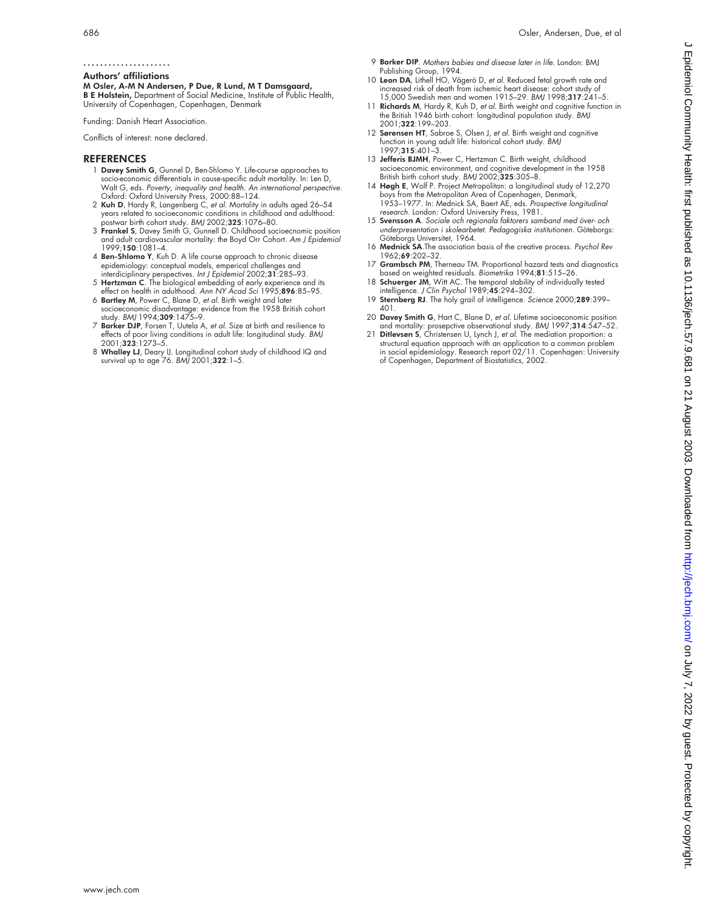#### 686 Osler, Andersen, Due, et al

#### .....................

## Authors' affiliations

M Osler, A-M N Andersen, P Due, R Lund, M T Damsgaard, B E Holstein, Department of Social Medicine, Institute of Public Health, University of Copenhagen, Copenhagen, Denmark

Funding: Danish Heart Association.

Conflicts of interest: none declared.

#### REFERENCES

- 1 Davey Smith G, Gunnel D, Ben-Shlomo Y. Life-course approaches to socio-economic differentials in cause-specific adult mortality. In: Len D, Walt G, eds. Poverty, inequality and health. An international perspective. Oxford: Oxford University Press, 2000:88–124.
- 2 Kuh D, Hardy R, Langenberg C, et al. Mortality in adults aged 26–54 years related to socioeconomic conditions in childhood and adulthood: postwar birth cohort study. BMJ 2002;325:1076–80.
- 3 Frankel S, Davey Smith G, Gunnell D. Childhood socioecnomic position and adult cardiovascular mortality: the Boyd Orr Cohort. Am J Epidemiol 1999;150:1081–4.
- 4 Ben-Shlomo Y, Kuh D. A life course approach to chronic disease epidemiology: conceptual models, emperical challenges and interdiciplinary perspectives. Int J Epidemiol 2002;31:285–93. 5 Hertzman C. The biological embedding of early experience and its
- effect on health in adulthood. Ann NY Acad Sci 1995;896:85-95.
- 6 Bartley M, Power C, Blane D, et al. Birth weight and later socioeconomic disadvantage: evidence trom the 1958 British cohort<br>study. *BM*J 1994;**309**:1475–9.
- 7 Barker DJP, Forsen T, Uutela A, et al. Size at birth and resilience to effects of poor living conditions in adult life: longitudinal study. BMJ 2001;323:1273–5.
- 8 Whalley LJ, Deary IJ. Longitudinal cohort study of childhood IQ and survival up to age 76. BMJ 2001;322:1–5.
- 9 Barker DIP. Mothers babies and disease later in life. London: BMJ Publishing Group, 1994.
- 10 Leon DA, Lithell HO, Vågerö D, et al. Reduced fetal growth rate and increased risk of death from ischemic heart disease: cohort study of 15,000 Swedish men and women 1915-29. BMJ 1998;317:241-5.
- 11 Richards M, Hardy R, Kuh D, et al. Birth weight and cognitive function in the British 1946 birth cohort: longitudinal population study. BMJ 2001;322:199–203.
- 12 Sørensen HT, Sabroe S, Olsen J, et al. Birth weight and cognitive function in young adult life: historical cohort study. BMJ 1997;315:401–3.
- 13 Jefferis BJMH, Power C, Hertzman C. Birth weight, childhood socioeconomic environment, and cognitive development in the 1958 British birth cohort study. BMJ 2002;325:305-8.
- 14 Høgh E, Wolf P. Project Metropolitan: a longitudinal study of 12,270 boys from the Metropolitan Area of Copenhagen, Denmark, 1953–1977. In: Mednick SA, Baert AE, eds. Prospective longitudinal research. London: Oxford University Press, 1981.
- 15 Svensson A. Sociale och regionala faktorers samband med över- och underpresentation <sup>i</sup> skolearbetet. Pedagogiska institutionen. Göteborgs: Göteborgs Universitet, 1964.
- 16 Mednick SA.The association basis of the creative process. Psychol Rev 1962;69:202–32.
- 17 Grambsch PM, Therneau TM. Proportional hazard tests and diagnostics based on weighted residuals. Biometrika 1994;81:515–26.
- 18 Schuerger JM, Witt AC. The temporal stability of individually tested intelligence. J Clin Psychol 1989;45:294–302.
- 19 Sternberg RJ. The holy grail of intelligence. Science 2000;289:399-401.
- 20 Davey Smith G, Hart C, Blane D, et al. Lifetime socioeconomic position and mortality: prosepctive observational study. BMJ 1997;314:547–52.
- 21 **Ditlevsen S**, Christensen U, Lynch J, et al. The mediation proportion: a structural equation approach with an application to a common problem in social epidemiology. Research report 02/11. Copenhagen: University of Copenhagen, Department of Biostatistics, 2002.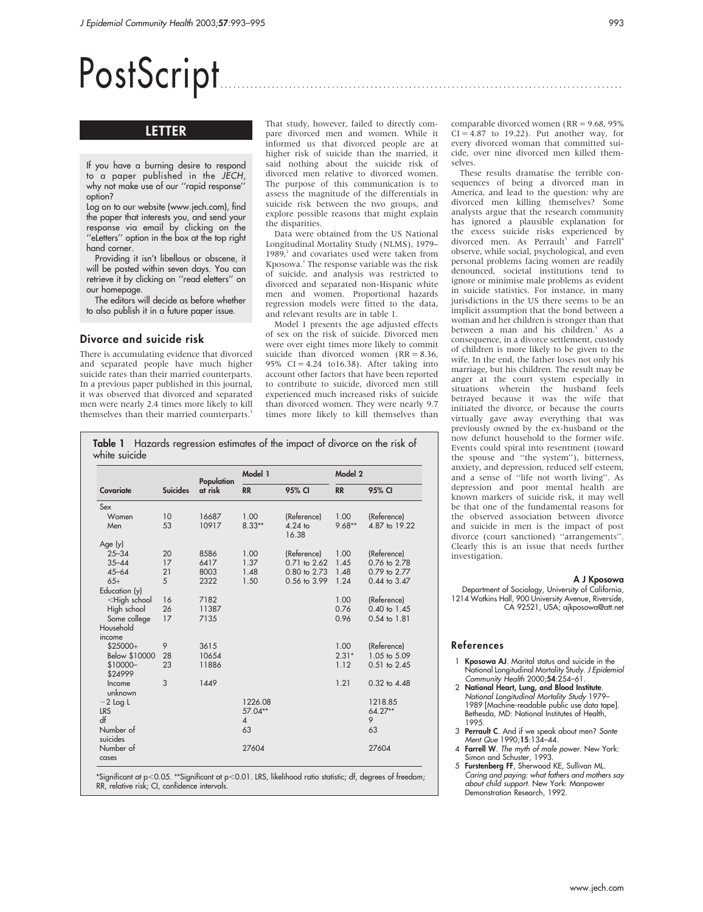# PostScript

# LETTER

If you have a burning desire to respond to a paper published in the JECH, why not make use of our ''rapid response'' option?

Log on to our website (www.jech.com), find the paper that interests you, and send your response via email by clicking on the ''eLetters'' option in the box at the top right hand corner.

Providing it isn't libellous or obscene, it will be posted within seven days. You can retrieve it by clicking on ''read eletters'' on our homepage.

The editors will decide as before whether to also publish it in a future paper issue.

#### Divorce and suicide risk

There is accumulating evidence that divorced and separated people have much higher suicide rates than their married counterparts. In a previous paper published in this journal, it was observed that divorced and separated men were nearly 2.4 times more likely to kill themselves than their married counterparts.<sup>1</sup> That study, however, failed to directly compare divorced men and women. While it informed us that divorced people are at higher risk of suicide than the married, it said nothing about the suicide risk of divorced men relative to divorced women. The purpose of this communication is to assess the magnitude of the differentials in suicide risk between the two groups, and explore possible reasons that might explain the disparities.

Data were obtained from the US National Longitudinal Mortality Study (NLMS), 1979– 1989,<sup>2</sup> and covariates used were taken from Kposowa.<sup>1</sup> The response variable was the risk of suicide, and analysis was restricted to divorced and separated non-Hispanic white men and women. Proportional hazards regression models were fitted to the data, and relevant results are in table 1.

Model 1 presents the age adjusted effects of sex on the risk of suicide. Divorced men were over eight times more likely to commit suicide than divorced women (RR = 8.36, 95% CI = 4.24 to16.38). After taking into account other factors that have been reported to contribute to suicide, divorced men still experienced much increased risks of suicide than divorced women. They were nearly 9.7 times more likely to kill themselves than comparable divorced women  $(RR = 9.68, 95%)$  $CI = 4.87$  to 19.22). Put another way, for every divorced woman that committed suicide, over nine divorced men killed themselves.

These results dramatise the terrible consequences of being a divorced man in America, and lead to the question: why are divorced men killing themselves? Some analysts argue that the research community has ignored a plausible explanation for the excess suicide risks experienced by divorced men. As Perrault<sup>3</sup> and Farrell<sup>4</sup> observe, while social, psychological, and even personal problems facing women are readily denounced, societal institutions tend to ignore or minimise male problems as evident in suicide statistics. For instance, in many jurisdictions in the US there seems to be an implicit assumption that the bond between a woman and her children is stronger than that between a man and his children.<sup>5</sup> As a consequence, in a divorce settlement, custody of children is more likely to be given to the wife. In the end, the father loses not only his marriage, but his children. The result may be anger at the court system especially in situations wherein the husband feels betrayed because it was the wife that initiated the divorce, or because the courts virtually gave away everything that was previously owned by the ex-husband or the now defunct household to the former wife. Events could spiral into resentment (toward the spouse and ''the system''), bitterness, anxiety, and depression, reduced self esteem, and a sense of ''life not worth living''. As depression and poor mental health are known markers of suicide risk, it may well be that one of the fundamental reasons for the observed association between divorce and suicide in men is the impact of post divorce (court sanctioned) ''arrangements''. Clearly this is an issue that needs further investigation.

#### A J Kposowa

Department of Sociology, University of California, 1214 Watkins Hall, 900 University Avenue, Riverside, CA 92521, USA; ajkposowa@att.net

# References

- 1 Kposowa AJ. Marital status and suicide in the National Longitudinal Mortality Study. *J Epidemio.*<br>Community Health 2000;**54**:254–61.
- 2 National Heart, Lung, and Blood Institute. National Longitudinal Mortality Study 1979– 1989 [Machine-readable public use data tape]. Bethesda, MD: National Institutes of Health, 1995.
- 3 Perrault C. And if we speak about men? Sante Ment Que 1990;15:134–44.
- 4 Farrell W. The myth of male power. New York: Simon and Schuster, 1993.
- 5 Furstenberg FF, Sherwood KE, Sullivan ML. Caring and paying: what fathers and mothers say about child support. New York: Manpower Demonstration Research, 1992.

|                                                                                                           |                 | Population | Model 1        |                    | Model 2   |                  |
|-----------------------------------------------------------------------------------------------------------|-----------------|------------|----------------|--------------------|-----------|------------------|
| Covariate                                                                                                 | <b>Suicides</b> | at risk    | <b>RR</b>      | 95% CI             | <b>RR</b> | 95% CI           |
| Sex                                                                                                       |                 |            |                |                    |           |                  |
| Women                                                                                                     | 10              | 16687      | 1.00           | (Reference)        | 1.00      | (Reference)      |
| Men                                                                                                       | 53              | 10917      | $8.33**$       | $4.24$ to<br>16.38 | $9.68**$  | 4.87 to 19.22    |
| Age (y)                                                                                                   |                 |            |                |                    |           |                  |
| $25 - 34$                                                                                                 | 20              | 8586       | 1.00           | (Reference)        | 1.00      | (Reference)      |
| $35 - 44$                                                                                                 | 17              | 6417       | 1.37           | 0.71 to 2.62       | 1.45      | 0.76 to 2.78     |
| $45 - 64$                                                                                                 | 21              | 8003       | 1.48           | 0.80 to 2.73       | 1.48      | 0.79 to 2.77     |
| $65+$                                                                                                     | 5               | 2322       | 1.50           | 0.56 to 3.99       | 1.24      | 0.44 to 3.47     |
| Education (y)                                                                                             |                 |            |                |                    |           |                  |
| <high school<="" td=""><td>16</td><td>7182</td><td></td><td></td><td>1.00</td><td>(Reference)</td></high> | 16              | 7182       |                |                    | 1.00      | (Reference)      |
| High school                                                                                               | 26              | 11387      |                |                    | 0.76      | 0.40 to 1.45     |
| Some college                                                                                              | 17              | 7135       |                |                    | 0.96      | $0.54$ to $1.81$ |
| Household                                                                                                 |                 |            |                |                    |           |                  |
| income                                                                                                    |                 |            |                |                    |           |                  |
| $$25000+$                                                                                                 | 9               | 3615       |                |                    | 1.00      | (Reference)      |
| Below \$10000                                                                                             | 28              | 10654      |                |                    | $2.31*$   | 1.05 to 5.09     |
| \$10000-<br>\$24999                                                                                       | 23              | 11886      |                |                    | 1.12      | 0.51 to 2.45     |
| Income<br>unknown                                                                                         | 3               | 1449       |                |                    | 1.21      | $0.32$ to $4.48$ |
| $-2$ Log L                                                                                                |                 |            | 1226.08        |                    |           | 1218.85          |
| <b>LRS</b>                                                                                                |                 |            | 57.04**        |                    |           | $64.27**$        |
| df                                                                                                        |                 |            | $\overline{4}$ |                    |           | 9                |
| Number of                                                                                                 |                 |            | 63             |                    |           | 63               |
| suicides                                                                                                  |                 |            |                |                    |           |                  |
| Number of                                                                                                 |                 |            | 27604          |                    |           | 27604            |
| cases                                                                                                     |                 |            |                |                    |           |                  |

\*Significant at p<0.05. \*\*Significant at p<0.01. LRS, likelihood ratio statistic; df, degrees of freedom; RR, relative risk; CI, confidence intervals.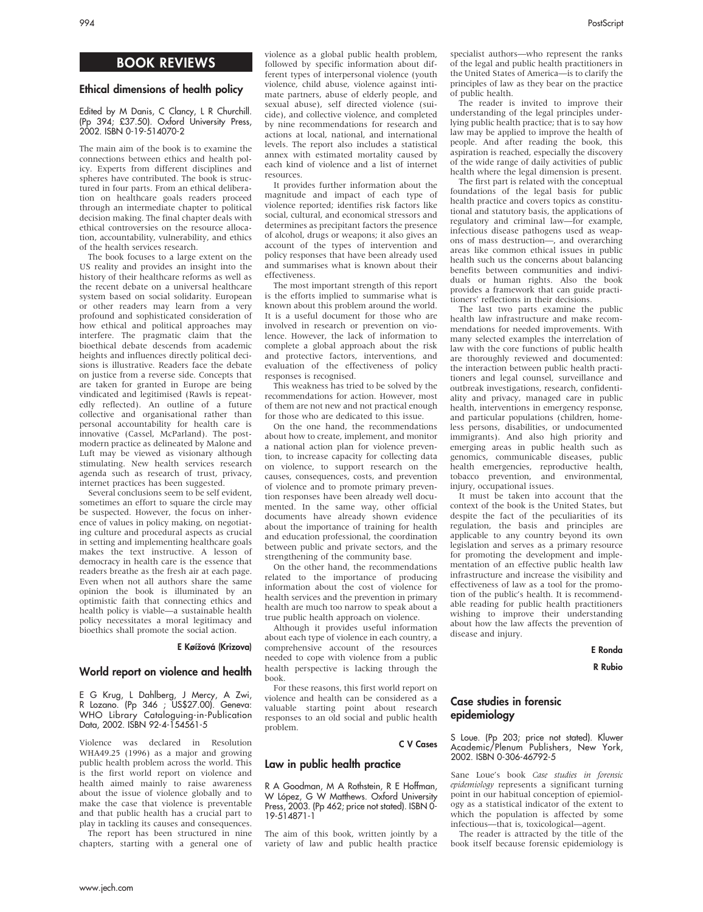# BOOK REVIEWS

## Ethical dimensions of health policy

#### Edited by M Danis, C Clancy, L R Churchill. (Pp 394; £37.50). Oxford University Press, 2002. ISBN 0-19-514070-2

The main aim of the book is to examine the connections between ethics and health policy. Experts from different disciplines and spheres have contributed. The book is structured in four parts. From an ethical deliberation on healthcare goals readers proceed through an intermediate chapter to political decision making. The final chapter deals with ethical controversies on the resource allocation, accountability, vulnerability, and ethics of the health services research.

The book focuses to a large extent on the US reality and provides an insight into the history of their healthcare reforms as well as the recent debate on a universal healthcare system based on social solidarity. European or other readers may learn from a very profound and sophisticated consideration of how ethical and political approaches may interfere. The pragmatic claim that the bioethical debate descends from academic heights and influences directly political decisions is illustrative. Readers face the debate on justice from a reverse side. Concepts that are taken for granted in Europe are being vindicated and legitimised (Rawls is repeatedly reflected). An outline of a future collective and organisational rather than personal accountability for health care is innovative (Cassel, McParland). The postmodern practice as delineated by Malone and Luft may be viewed as visionary although stimulating. New health services research agenda such as research of trust, privacy, internet practices has been suggested.

Several conclusions seem to be self evident, sometimes an effort to square the circle may be suspected. However, the focus on inherence of values in policy making, on negotiating culture and procedural aspects as crucial in setting and implementing healthcare goals makes the text instructive. A lesson of democracy in health care is the essence that readers breathe as the fresh air at each page. Even when not all authors share the same opinion the book is illuminated by an optimistic faith that connecting ethics and health policy is viable—a sustainable health policy necessitates a moral legitimacy and bioethics shall promote the social action.

#### E Køížová (Krizova)

#### World report on violence and health

E G Krug, L Dahlberg, J Mercy, A Zwi, R Lozano. (Pp 346 ; US\$27.00). Geneva: WHO Library Cataloguing-in-Publication Data, 2002. ISBN 92-4-154561-5

Violence was declared in Resolution WHA49.25 (1996) as a major and growing public health problem across the world. This is the first world report on violence and health aimed mainly to raise awareness about the issue of violence globally and to make the case that violence is preventable and that public health has a crucial part to play in tackling its causes and consequences.

The report has been structured in nine chapters, starting with a general one of violence as a global public health problem, followed by specific information about different types of interpersonal violence (youth violence, child abuse, violence against intimate partners, abuse of elderly people, and sexual abuse), self directed violence (suicide), and collective violence, and completed by nine recommendations for research and actions at local, national, and international levels. The report also includes a statistical annex with estimated mortality caused by each kind of violence and a list of internet resources.

It provides further information about the magnitude and impact of each type of violence reported; identifies risk factors like social, cultural, and economical stressors and determines as precipitant factors the presence of alcohol, drugs or weapons; it also gives an account of the types of intervention and policy responses that have been already used and summarises what is known about their effectiveness.

The most important strength of this report is the efforts implied to summarise what is known about this problem around the world. It is a useful document for those who are involved in research or prevention on violence. However, the lack of information to complete a global approach about the risk and protective factors, interventions, and evaluation of the effectiveness of policy responses is recognised.

This weakness has tried to be solved by the recommendations for action. However, most of them are not new and not practical enough for those who are dedicated to this issue.

On the one hand, the recommendations about how to create, implement, and monitor a national action plan for violence prevention, to increase capacity for collecting data on violence, to support research on the causes, consequences, costs, and prevention of violence and to promote primary prevention responses have been already well documented. In the same way, other official documents have already shown evidence about the importance of training for health and education professional, the coordination between public and private sectors, and the strengthening of the community base.

On the other hand, the recommendations related to the importance of producing information about the cost of violence for health services and the prevention in primary health are much too narrow to speak about a true public health approach on violence.

health perspective is lacking through the book. Although it provides useful information about each type of violence in each country, a comprehensive account of the resources needed to cope with violence from a public

For these reasons, this first world report on violence and health can be considered as a valuable starting point about research responses to an old social and public health problem.

#### C V Cases

#### Law in public health practice

R A Goodman, M A Rothstein, R E Hoffman, W López, G W Matthews. Oxford University Press, 2003. (Pp 462; price not stated). ISBN 0-19-514871-1

The aim of this book, written jointly by a variety of law and public health practice specialist authors—who represent the ranks of the legal and public health practitioners in the United States of America—is to clarify the principles of law as they bear on the practice of public health.

The reader is invited to improve their understanding of the legal principles underlying public health practice; that is to say how law may be applied to improve the health of people. And after reading the book, this aspiration is reached, especially the discovery of the wide range of daily activities of public health where the legal dimension is present.

The first part is related with the conceptual foundations of the legal basis for public health practice and covers topics as constitutional and statutory basis, the applications of regulatory and criminal law—for example, infectious disease pathogens used as weapons of mass destruction—, and overarching areas like common ethical issues in public health such us the concerns about balancing benefits between communities and individuals or human rights. Also the book provides a framework that can guide practitioners' reflections in their decisions.

The last two parts examine the public health law infrastructure and make recommendations for needed improvements. With many selected examples the interrelation of law with the core functions of public health are thoroughly reviewed and documented: the interaction between public health practitioners and legal counsel, surveillance and outbreak investigations, research, confidentiality and privacy, managed care in public health, interventions in emergency response, and particular populations (children, homeless persons, disabilities, or undocumented immigrants). And also high priority and emerging areas in public health such as genomics, communicable diseases, public health emergencies, reproductive health, tobacco prevention, and environmental, injury, occupational issues.

It must be taken into account that the context of the book is the United States, but despite the fact of the peculiarities of its regulation, the basis and principles are applicable to any country beyond its own legislation and serves as a primary resource for promoting the development and implementation of an effective public health law infrastructure and increase the visibility and effectiveness of law as a tool for the promotion of the public's health. It is recommendable reading for public health practitioners wishing to improve their understanding about how the law affects the prevention of disease and injury.

E Ronda

R Rubio

# Case studies in forensic epidemiology

S Loue. (Pp 203; price not stated). Kluwer Academic/Plenum Publishers, New York, 2002. ISBN 0-306-46792-5

Sane Loue's book Case studies in forensic epidemiology represents a significant turning point in our habitual conception of epiemiology as a statistical indicator of the extent to which the population is affected by some infectious—that is, toxicological—agent.

The reader is attracted by the title of the book itself because forensic epidemiology is